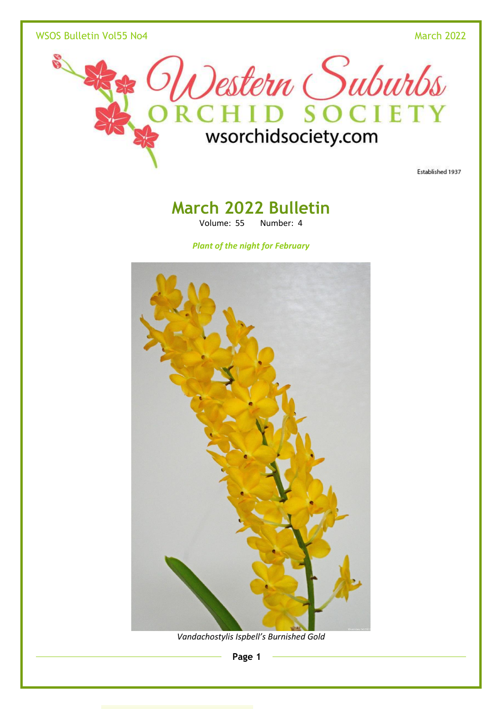wSOS Bulletin Vol55 No4 March 2022



Established 1937

# **March 2022 Bulletin**

Volume: 55 Number: 4

*Plant of the night for February*



*Vandachostylis Ispbell's Burnished Gold*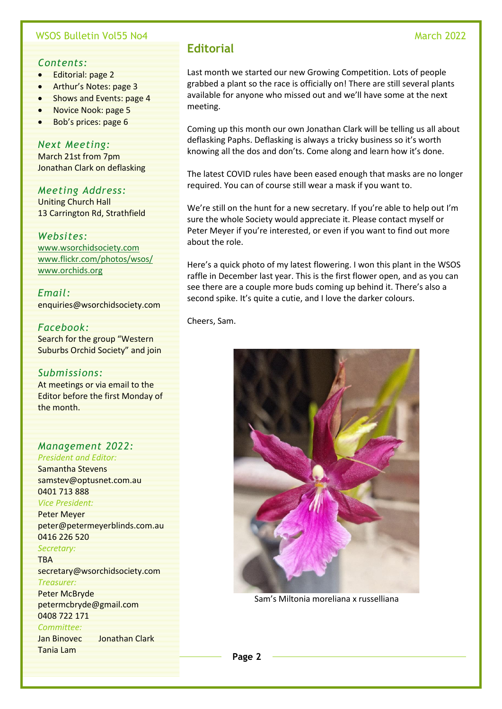#### WSOS Bulletin Vol55 No4 March 2022

#### *Contents:*

- Editorial: page 2
- Arthur's Notes: page 3
- Shows and Events: page 4
- Novice Nook: page 5
- Bob's prices: page 6

#### *Next Meeting:*

March 21st from 7pm Jonathan Clark on deflasking

### *Meeting Address:*

Uniting Church Hall 13 Carrington Rd, Strathfield

#### *Websites:*

[www.wsorchidsociety.com](http://www.wsorchidsociety.com/) [www.flickr.com/photos/wsos/](http://www.flickr.com/photos/wsos/) [www.orchids.org](http://www.orchids.org/)

*Email:* enquiries@wsorchidsociety.com

#### *Facebook:*

Search for the group "Western Suburbs Orchid Society" and join

#### *Submissions:*

At meetings or via email to the Editor before the first Monday of the month.

#### *Management 2022: President and Editor:*

Samantha Stevens samstev@optusnet.com.au 0401 713 888 *Vice President:* Peter Meyer peter@petermeyerblinds.com.au 0416 226 520 *Secretary:* TBA secretary@wsorchidsociety.com *Treasurer:* Peter McBryde petermcbryde@gmail.com 0408 722 171 *Committee:* Jan Binovec Jonathan Clark Tania Lam

# **Editorial**

Last month we started our new Growing Competition. Lots of people grabbed a plant so the race is officially on! There are still several plants available for anyone who missed out and we'll have some at the next meeting.

Coming up this month our own Jonathan Clark will be telling us all about deflasking Paphs. Deflasking is always a tricky business so it's worth knowing all the dos and don'ts. Come along and learn how it's done.

The latest COVID rules have been eased enough that masks are no longer required. You can of course still wear a mask if you want to.

We're still on the hunt for a new secretary. If you're able to help out I'm sure the whole Society would appreciate it. Please contact myself or Peter Meyer if you're interested, or even if you want to find out more about the role.

Here's a quick photo of my latest flowering. I won this plant in the WSOS raffle in December last year. This is the first flower open, and as you can see there are a couple more buds coming up behind it. There's also a second spike. It's quite a cutie, and I love the darker colours.

Cheers, Sam.



Sam's Miltonia moreliana x russelliana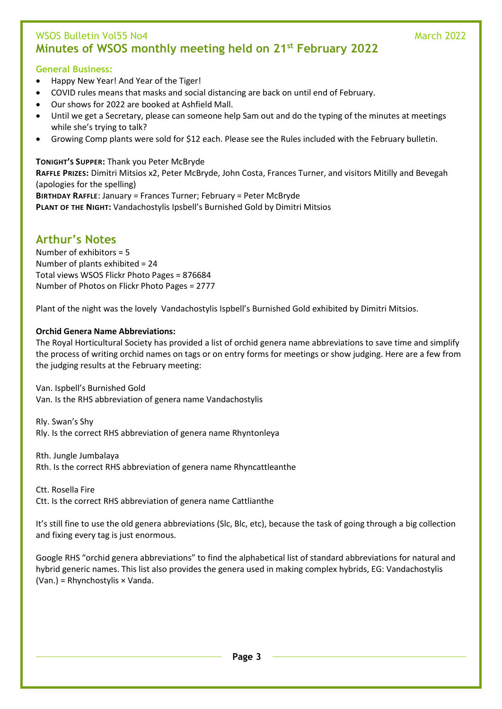# WSOS Bulletin Vol55 No4 March 2022 **Minutes of WSOS monthly meeting held on 21st February 2022**

### **General Business:**

- Happy New Year! And Year of the Tiger!
- COVID rules means that masks and social distancing are back on until end of February.
- Our shows for 2022 are booked at Ashfield Mall.
- Until we get a Secretary, please can someone help Sam out and do the typing of the minutes at meetings while she's trying to talk?
- Growing Comp plants were sold for \$12 each. Please see the Rules included with the February bulletin.

**TONIGHT'S SUPPER:** Thank you Peter McBryde **RAFFLE PRIZES:** Dimitri Mitsios x2, Peter McBryde, John Costa, Frances Turner, and visitors Mitilly and Bevegah (apologies for the spelling) **BIRTHDAY RAFFLE**: January = Frances Turner; February = Peter McBryde **PLANT OF THE NIGHT:** Vandachostylis Ipsbell's Burnished Gold by Dimitri Mitsios

# **Arthur's Notes**

Number of exhibitors = 5 Number of plants exhibited = 24 Total views WSOS Flickr Photo Pages = 876684 Number of Photos on Flickr Photo Pages = 2777

Plant of the night was the lovely Vandachostylis Ispbell's Burnished Gold exhibited by Dimitri Mitsios.

#### **Orchid Genera Name Abbreviations:**

The Royal Horticultural Society has provided a list of orchid genera name abbreviations to save time and simplify the process of writing orchid names on tags or on entry forms for meetings or show judging. Here are a few from the judging results at the February meeting:

Van. Ispbell's Burnished Gold Van. Is the RHS abbreviation of genera name Vandachostylis

Rly. Swan's Shy Rly. Is the correct RHS abbreviation of genera name Rhyntonleya

Rth. Jungle Jumbalaya Rth. Is the correct RHS abbreviation of genera name Rhyncattleanthe

Ctt. Rosella Fire

Ctt. Is the correct RHS abbreviation of genera name Cattlianthe

It's still fine to use the old genera abbreviations (Slc, Blc, etc), because the task of going through a big collection and fixing every tag is just enormous.

Google RHS "orchid genera abbreviations" to find the alphabetical list of standard abbreviations for natural and hybrid generic names. This list also provides the genera used in making complex hybrids, EG: Vandachostylis (Van.) = Rhynchostylis × Vanda.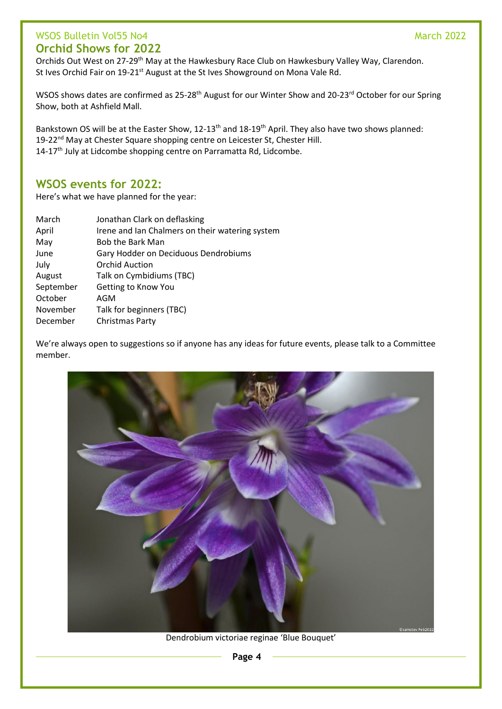# wsos Bulletin Vol55 No4 March 2022 **Orchid Shows for 2022**

Orchids Out West on 27-29th May at the Hawkesbury Race Club on Hawkesbury Valley Way, Clarendon. St Ives Orchid Fair on 19-21<sup>st</sup> August at the St Ives Showground on Mona Vale Rd.

WSOS shows dates are confirmed as 25-28<sup>th</sup> August for our Winter Show and 20-23<sup>rd</sup> October for our Spring Show, both at Ashfield Mall.

Bankstown OS will be at the Easter Show, 12-13<sup>th</sup> and 18-19<sup>th</sup> April. They also have two shows planned: 19-22<sup>nd</sup> May at Chester Square shopping centre on Leicester St, Chester Hill. 14-17<sup>th</sup> July at Lidcombe shopping centre on Parramatta Rd, Lidcombe.

# **WSOS events for 2022:**

Here's what we have planned for the year:

| March     | Jonathan Clark on deflasking                    |
|-----------|-------------------------------------------------|
| April     | Irene and Ian Chalmers on their watering system |
| May       | <b>Bob the Bark Man</b>                         |
| June      | Gary Hodder on Deciduous Dendrobiums            |
| July      | <b>Orchid Auction</b>                           |
| August    | Talk on Cymbidiums (TBC)                        |
| September | Getting to Know You                             |
| October   | AGM                                             |
| November  | Talk for beginners (TBC)                        |
| December  | Christmas Party                                 |

We're always open to suggestions so if anyone has any ideas for future events, please talk to a Committee member.



Dendrobium victoriae reginae 'Blue Bouquet'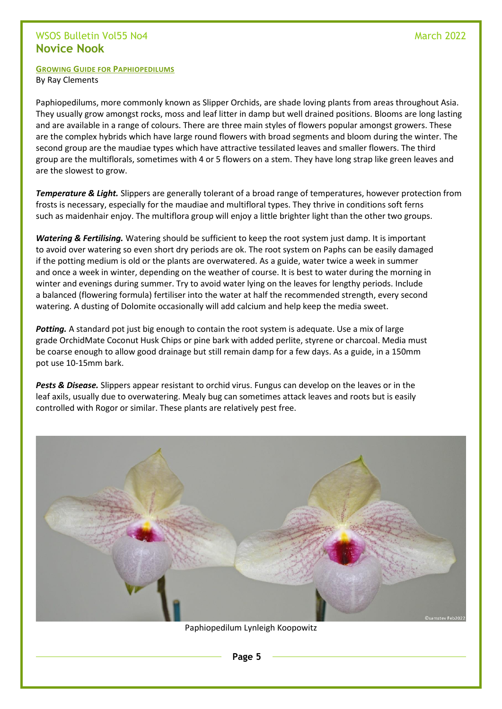# WSOS Bulletin Vol55 No4 March 2022 **Novice Nook**

#### **GROWING GUIDE FOR PAPHIOPEDILUMS**

By Ray Clements

Paphiopedilums, more commonly known as Slipper Orchids, are shade loving plants from areas throughout Asia. They usually grow amongst rocks, moss and leaf litter in damp but well drained positions. Blooms are long lasting and are available in a range of colours. There are three main styles of flowers popular amongst growers. These are the complex hybrids which have large round flowers with broad segments and bloom during the winter. The second group are the maudiae types which have attractive tessilated leaves and smaller flowers. The third group are the multiflorals, sometimes with 4 or 5 flowers on a stem. They have long strap like green leaves and are the slowest to grow.

*Temperature & Light.* Slippers are generally tolerant of a broad range of temperatures, however protection from frosts is necessary, especially for the maudiae and multifloral types. They thrive in conditions soft ferns such as maidenhair enjoy. The multiflora group will enjoy a little brighter light than the other two groups.

*Watering & Fertilising.* Watering should be sufficient to keep the root system just damp. It is important to avoid over watering so even short dry periods are ok. The root system on Paphs can be easily damaged if the potting medium is old or the plants are overwatered. As a guide, water twice a week in summer and once a week in winter, depending on the weather of course. It is best to water during the morning in winter and evenings during summer. Try to avoid water lying on the leaves for lengthy periods. Include a balanced (flowering formula) fertiliser into the water at half the recommended strength, every second watering. A dusting of Dolomite occasionally will add calcium and help keep the media sweet.

Potting. A standard pot just big enough to contain the root system is adequate. Use a mix of large grade OrchidMate Coconut Husk Chips or pine bark with added perlite, styrene or charcoal. Media must be coarse enough to allow good drainage but still remain damp for a few days. As a guide, in a 150mm pot use 10-15mm bark.

*Pests & Disease.* Slippers appear resistant to orchid virus. Fungus can develop on the leaves or in the leaf axils, usually due to overwatering. Mealy bug can sometimes attack leaves and roots but is easily controlled with Rogor or similar. These plants are relatively pest free.



Paphiopedilum Lynleigh Koopowitz